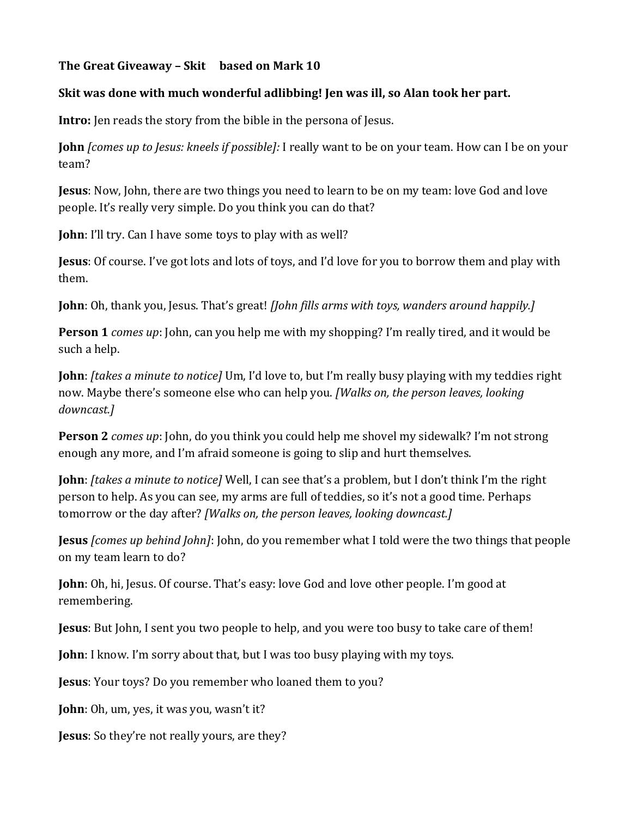## **The Great Giveaway – Skit based on Mark 10**

## **Skit was done with much wonderful adlibbing! Jen was ill, so Alan took her part.**

**Intro:** Jen reads the story from the bible in the persona of Jesus.

**John** *[comes up to Jesus: kneels if possible]:* I really want to be on your team. How can I be on your team?

**Jesus**: Now, John, there are two things you need to learn to be on my team: love God and love people. It's really very simple. Do you think you can do that?

**John**: I'll try. Can I have some toys to play with as well?

**Jesus**: Of course. I've got lots and lots of toys, and I'd love for you to borrow them and play with them.

**John**: Oh, thank you, Jesus. That's great! *[John fills arms with toys, wanders around happily.]*

**Person 1** *comes up*: John, can you help me with my shopping? I'm really tired, and it would be such a help.

**John**: *[takes a minute to notice]* Um, I'd love to, but I'm really busy playing with my teddies right now. Maybe there's someone else who can help you. *[Walks on, the person leaves, looking downcast.]* 

**Person 2** *comes up*: John, do you think you could help me shovel my sidewalk? I'm not strong enough any more, and I'm afraid someone is going to slip and hurt themselves.

**John**: *[takes a minute to notice]* Well, I can see that's a problem, but I don't think I'm the right person to help. As you can see, my arms are full of teddies, so it's not a good time. Perhaps tomorrow or the day after? *[Walks on, the person leaves, looking downcast.]*

**Jesus** *[comes up behind John]*: John, do you remember what I told were the two things that people on my team learn to do?

**John**: Oh, hi, Jesus. Of course. That's easy: love God and love other people. I'm good at remembering.

**Jesus**: But John, I sent you two people to help, and you were too busy to take care of them!

**John**: I know. I'm sorry about that, but I was too busy playing with my toys.

**Jesus**: Your toys? Do you remember who loaned them to you?

**John**: Oh, um, yes, it was you, wasn't it?

**Jesus**: So they're not really yours, are they?